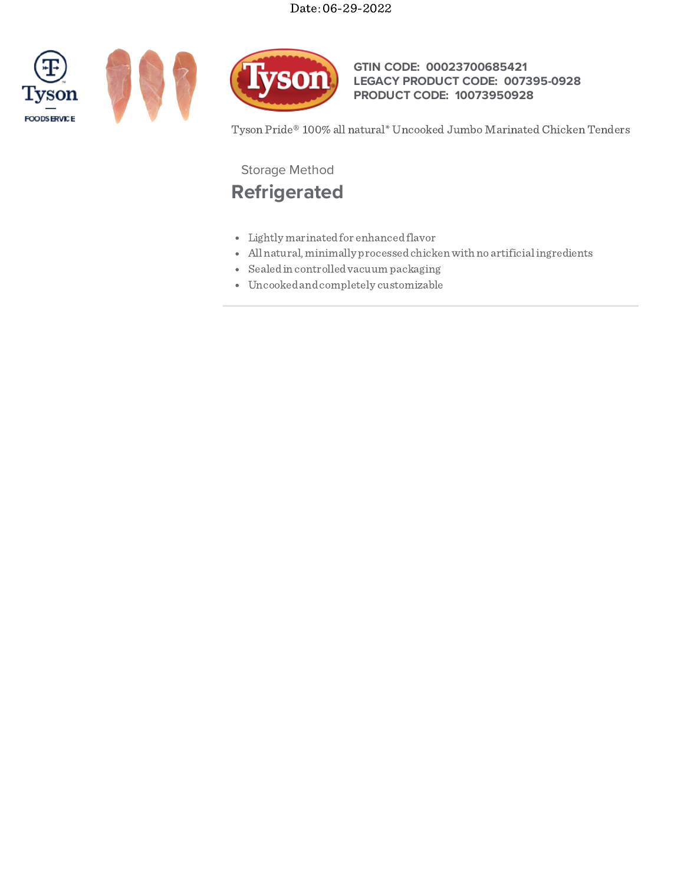





# **GTIN CODE: 00023700685421 LEGACY PRODUCT CODE: 007395-0928 PRODUCT CODE: 10073950928**

Tyson Pride® 100% all natural\* Uncooked Jumbo Marinated Chicken Tenders

Storage Method

# **Refrigerated**

- Lightly marinatedfor enhancedflavor
- All natural, minimally processedchickenwith no artificialingredients
- Sealedin controlledvacuum packaging
- Uncookedandcompletely customizable